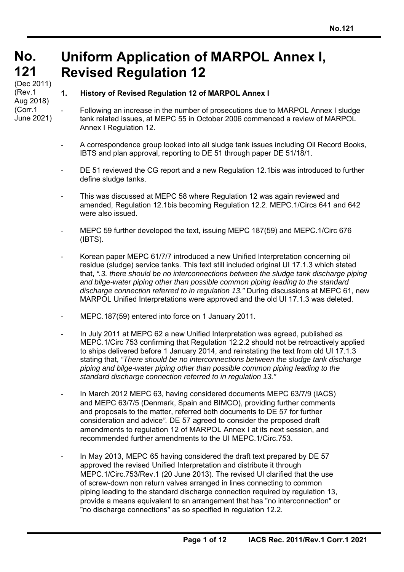#### **No. No. 121 121 Uniform Application of MARPOL Annex I, Revised Regulation 12**

(Dec 2011) (Rev.1 Aug 2018) (Corr.1 June 2021)

l

### **1. History of Revised Regulation 12 of MARPOL Annex I**

- Following an increase in the number of prosecutions due to MARPOL Annex I sludge tank related issues, at MEPC 55 in October 2006 commenced a review of MARPOL Annex I Regulation 12.
- A correspondence group looked into all sludge tank issues including Oil Record Books, IBTS and plan approval, reporting to DE 51 through paper DE 51/18/1.
- DE 51 reviewed the CG report and a new Regulation 12.1bis was introduced to further define sludge tanks.
- This was discussed at MEPC 58 where Regulation 12 was again reviewed and amended, Regulation 12.1bis becoming Regulation 12.2. MEPC.1/Circs 641 and 642 were also issued.
- MEPC 59 further developed the text, issuing MEPC 187(59) and MEPC.1/Circ 676 (IBTS).
- Korean paper MEPC 61/7/7 introduced a new Unified Interpretation concerning oil residue (sludge) service tanks. This text still included original UI 17.1.3 which stated that, *".3. there should be no interconnections between the sludge tank discharge piping and bilge-water piping other than possible common piping leading to the standard discharge connection referred to in regulation 13."* During discussions at MEPC 61, new MARPOL Unified Interpretations were approved and the old UI 17.1.3 was deleted.
- MEPC.187(59) entered into force on 1 January 2011.
- In July 2011 at MEPC 62 a new Unified Interpretation was agreed, published as MEPC.1/Circ 753 confirming that Regulation 12.2.2 should not be retroactively applied to ships delivered before 1 January 2014, and reinstating the text from old UI 17.1.3 stating that, *"There should be no interconnections between the sludge tank discharge piping and bilge-water piping other than possible common piping leading to the standard discharge connection referred to in regulation 13."*
- In March 2012 MEPC 63, having considered documents MEPC 63/7/9 (IACS) and MEPC 63/7/5 (Denmark, Spain and BIMCO), providing further comments and proposals to the matter, referred both documents to DE 57 for further consideration and advice*".* DE 57 agreed to consider the proposed draft amendments to regulation 12 of MARPOL Annex I at its next session, and recommended further amendments to the UI MEPC.1/Circ.753.
- In May 2013, MEPC 65 having considered the draft text prepared by DE 57 approved the revised Unified Interpretation and distribute it through MEPC.1/Circ.753/Rev.1 (20 June 2013). The revised UI clarified that the use of screw-down non return valves arranged in lines connecting to common piping leading to the standard discharge connection required by regulation 13, provide a means equivalent to an arrangement that has "no interconnection" or "no discharge connections" as so specified in regulation 12.2.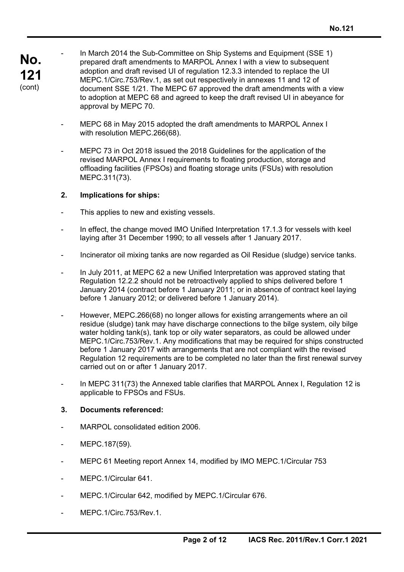**No. 121**  (cont)

In March 2014 the Sub-Committee on Ship Systems and Equipment (SSE 1) prepared draft amendments to MARPOL Annex I with a view to subsequent adoption and draft revised UI of regulation 12.3.3 intended to replace the UI MEPC.1/Circ.753/Rev.1, as set out respectively in annexes 11 and 12 of document SSE 1/21. The MEPC 67 approved the draft amendments with a view to adoption at MEPC 68 and agreed to keep the draft revised UI in abeyance for approval by MEPC 70.

- MEPC 68 in May 2015 adopted the draft amendments to MARPOL Annex I with resolution MEPC.266(68).
- MEPC 73 in Oct 2018 issued the 2018 Guidelines for the application of the revised MARPOL Annex I requirements to floating production, storage and offloading facilities (FPSOs) and floating storage units (FSUs) with resolution MEPC.311(73).

#### **2. Implications for ships:**

- This applies to new and existing vessels.
- In effect, the change moved IMO Unified Interpretation 17.1.3 for vessels with keel laying after 31 December 1990; to all vessels after 1 January 2017.
- Incinerator oil mixing tanks are now regarded as Oil Residue (sludge) service tanks.
- In July 2011, at MEPC 62 a new Unified Interpretation was approved stating that Regulation 12.2.2 should not be retroactively applied to ships delivered before 1 January 2014 (contract before 1 January 2011; or in absence of contract keel laying before 1 January 2012; or delivered before 1 January 2014).
- However, MEPC.266(68) no longer allows for existing arrangements where an oil residue (sludge) tank may have discharge connections to the bilge system, oily bilge water holding tank(s), tank top or oily water separators, as could be allowed under MEPC.1/Circ.753/Rev.1. Any modifications that may be required for ships constructed before 1 January 2017 with arrangements that are not compliant with the revised Regulation 12 requirements are to be completed no later than the first renewal survey carried out on or after 1 January 2017.
- In MEPC 311(73) the Annexed table clarifies that MARPOL Annex I, Regulation 12 is applicable to FPSOs and FSUs.

#### **3. Documents referenced:**

- MARPOL consolidated edition 2006.
- MEPC.187(59).

- MEPC 61 Meeting report Annex 14, modified by IMO MEPC.1/Circular 753
- MEPC.1/Circular 641.
- MEPC.1/Circular 642, modified by MEPC.1/Circular 676.
- MEPC.1/Circ.753/Rev.1.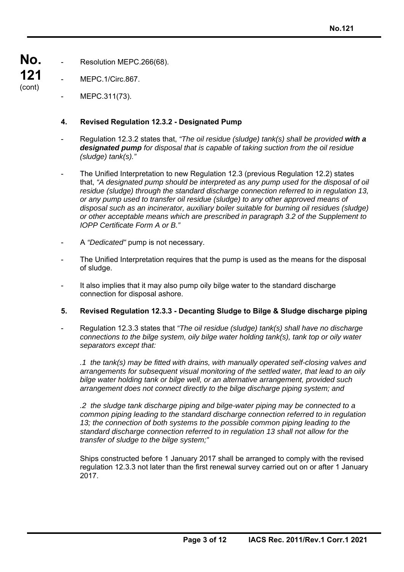- **No.**  Resolution MEPC.266(68).
- **121**  (cont) MEPC.1/Circ.867.

l

MEPC.311(73).

#### **4. Revised Regulation 12.3.2 - Designated Pump**

- Regulation 12.3.2 states that, *"The oil residue (sludge) tank(s) shall be provided with a designated pump for disposal that is capable of taking suction from the oil residue (sludge) tank(s)."*
- The Unified Interpretation to new Regulation 12.3 (previous Regulation 12.2) states that, *"A designated pump should be interpreted as any pump used for the disposal of oil residue (sludge) through the standard discharge connection referred to in regulation 13, or any pump used to transfer oil residue (sludge) to any other approved means of disposal such as an incinerator, auxiliary boiler suitable for burning oil residues (sludge) or other acceptable means which are prescribed in paragraph 3.2 of the Supplement to IOPP Certificate Form A or B."*
- A *"Dedicated"* pump is not necessary.
- The Unified Interpretation requires that the pump is used as the means for the disposal of sludge.
- It also implies that it may also pump oily bilge water to the standard discharge connection for disposal ashore.
- **5. Revised Regulation 12.3.3 Decanting Sludge to Bilge & Sludge discharge piping**
- Regulation 12.3.3 states that *"The oil residue (sludge) tank(s) shall have no discharge connections to the bilge system, oily bilge water holding tank(s), tank top or oily water separators except that:*

 *.1 the tank(s) may be fitted with drains, with manually operated self-closing valves and arrangements for subsequent visual monitoring of the settled water, that lead to an oily bilge water holding tank or bilge well, or an alternative arrangement, provided such arrangement does not connect directly to the bilge discharge piping system; and* 

*.2 the sludge tank discharge piping and bilge-water piping may be connected to a common piping leading to the standard discharge connection referred to in regulation 13; the connection of both systems to the possible common piping leading to the standard discharge connection referred to in regulation 13 shall not allow for the transfer of sludge to the bilge system;"* 

Ships constructed before 1 January 2017 shall be arranged to comply with the revised regulation 12.3.3 not later than the first renewal survey carried out on or after 1 January 2017.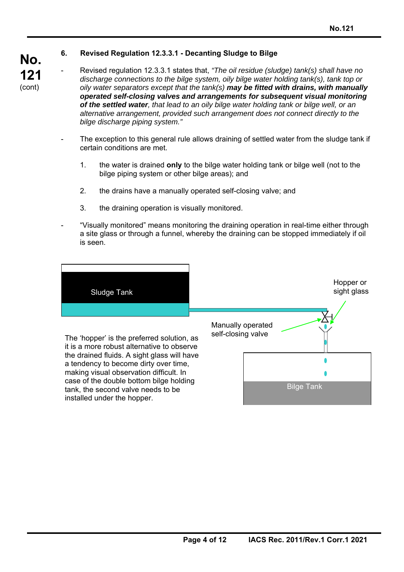l

### **6. Revised Regulation 12.3.3.1 - Decanting Sludge to Bilge**

- Revised regulation 12.3.3.1 states that, *"The oil residue (sludge) tank(s) shall have no discharge connections to the bilge system, oily bilge water holding tank(s), tank top or oily water separators except that the tank(s) may be fitted with drains, with manually operated self-closing valves and arrangements for subsequent visual monitoring of the settled water, that lead to an oily bilge water holding tank or bilge well, or an alternative arrangement, provided such arrangement does not connect directly to the bilge discharge piping system."*
- The exception to this general rule allows draining of settled water from the sludge tank if certain conditions are met.
	- 1. the water is drained **only** to the bilge water holding tank or bilge well (not to the bilge piping system or other bilge areas); and
	- 2. the drains have a manually operated self-closing valve; and
	- 3. the draining operation is visually monitored.
- "Visually monitored" means monitoring the draining operation in real-time either through a site glass or through a funnel, whereby the draining can be stopped immediately if oil is seen.

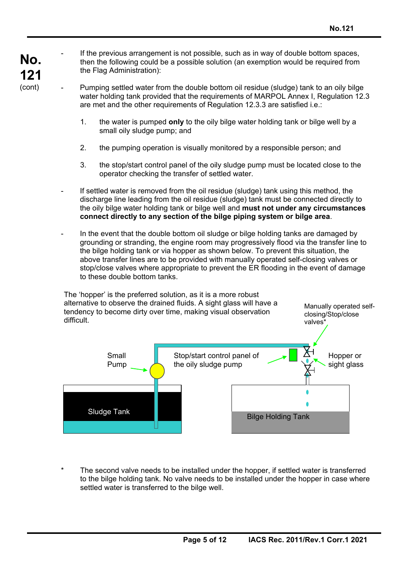**No. 121**  (cont)

l

If the previous arrangement is not possible, such as in way of double bottom spaces, then the following could be a possible solution (an exemption would be required from the Flag Administration):

- Pumping settled water from the double bottom oil residue (sludge) tank to an oily bilge water holding tank provided that the requirements of MARPOL Annex I, Regulation 12.3 are met and the other requirements of Regulation 12.3.3 are satisfied i.e.:
	- 1. the water is pumped **only** to the oily bilge water holding tank or bilge well by a small oily sludge pump; and
	- 2. the pumping operation is visually monitored by a responsible person; and
	- 3. the stop/start control panel of the oily sludge pump must be located close to the operator checking the transfer of settled water.
- If settled water is removed from the oil residue (sludge) tank using this method, the discharge line leading from the oil residue (sludge) tank must be connected directly to the oily bilge water holding tank or bilge well and **must not under any circumstances connect directly to any section of the bilge piping system or bilge area**.
- In the event that the double bottom oil sludge or bilge holding tanks are damaged by grounding or stranding, the engine room may progressively flood via the transfer line to the bilge holding tank or via hopper as shown below. To prevent this situation, the above transfer lines are to be provided with manually operated self-closing valves or stop/close valves where appropriate to prevent the ER flooding in the event of damage to these double bottom tanks.



The second valve needs to be installed under the hopper, if settled water is transferred to the bilge holding tank. No valve needs to be installed under the hopper in case where settled water is transferred to the bilge well.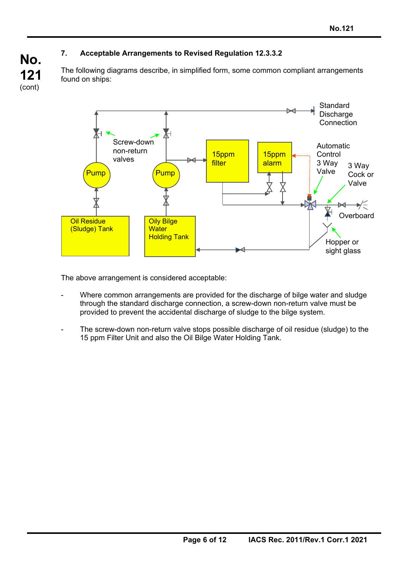# **7. Acceptable Arrangements to Revised Regulation 12.3.3.2**

The following diagrams describe, in simplified form, some common compliant arrangements found on ships:



The above arrangement is considered acceptable:

l

**No.** 

**121**  (cont)

- Where common arrangements are provided for the discharge of bilge water and sludge through the standard discharge connection, a screw-down non-return valve must be provided to prevent the accidental discharge of sludge to the bilge system.
- The screw-down non-return valve stops possible discharge of oil residue (sludge) to the 15 ppm Filter Unit and also the Oil Bilge Water Holding Tank.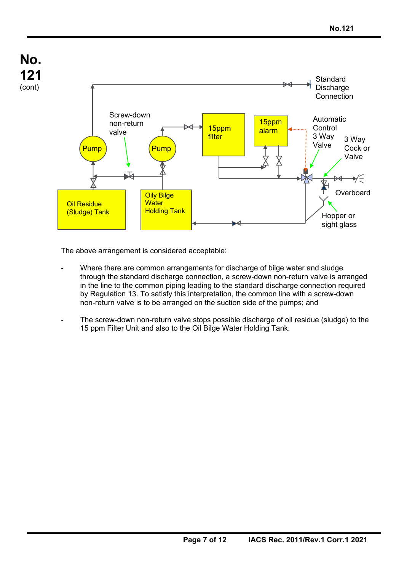

The above arrangement is considered acceptable:

- Where there are common arrangements for discharge of bilge water and sludge through the standard discharge connection, a screw-down non-return valve is arranged in the line to the common piping leading to the standard discharge connection required by Regulation 13. To satisfy this interpretation, the common line with a screw-down non-return valve is to be arranged on the suction side of the pumps; and
- The screw-down non-return valve stops possible discharge of oil residue (sludge) to the 15 ppm Filter Unit and also to the Oil Bilge Water Holding Tank.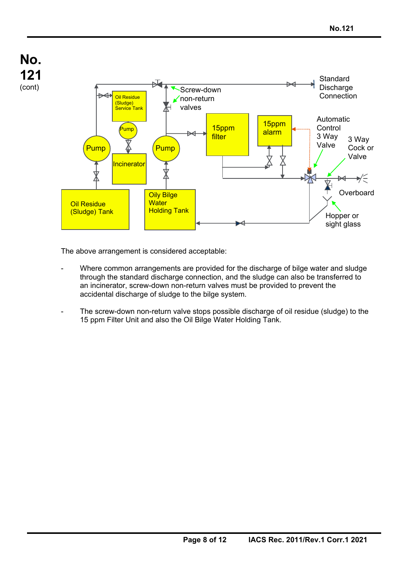

The above arrangement is considered acceptable:

- Where common arrangements are provided for the discharge of bilge water and sludge through the standard discharge connection, and the sludge can also be transferred to an incinerator, screw-down non-return valves must be provided to prevent the accidental discharge of sludge to the bilge system.
- The screw-down non-return valve stops possible discharge of oil residue (sludge) to the 15 ppm Filter Unit and also the Oil Bilge Water Holding Tank.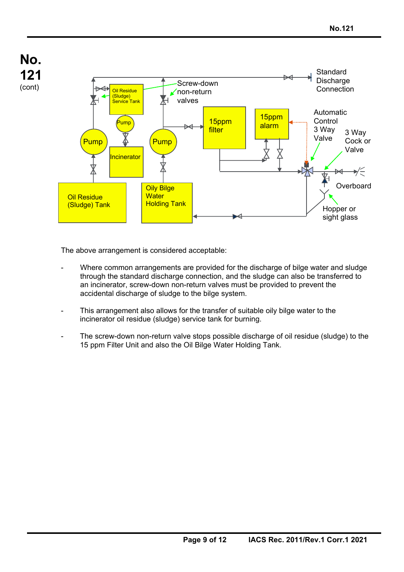

The above arrangement is considered acceptable:

- Where common arrangements are provided for the discharge of bilge water and sludge through the standard discharge connection, and the sludge can also be transferred to an incinerator, screw-down non-return valves must be provided to prevent the accidental discharge of sludge to the bilge system.
- This arrangement also allows for the transfer of suitable oily bilge water to the incinerator oil residue (sludge) service tank for burning.
- The screw-down non-return valve stops possible discharge of oil residue (sludge) to the 15 ppm Filter Unit and also the Oil Bilge Water Holding Tank.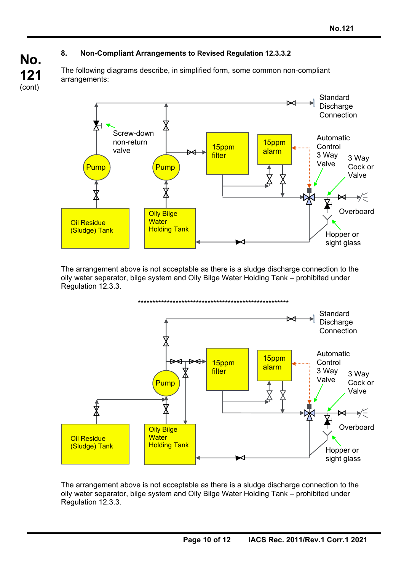## **8. Non-Compliant Arrangements to Revised Regulation 12.3.3.2**

The following diagrams describe, in simplified form, some common non-compliant arrangements:



The arrangement above is not acceptable as there is a sludge discharge connection to the oily water separator, bilge system and Oily Bilge Water Holding Tank – prohibited under Regulation 12.3.3.



The arrangement above is not acceptable as there is a sludge discharge connection to the oily water separator, bilge system and Oily Bilge Water Holding Tank – prohibited under Regulation 12.3.3.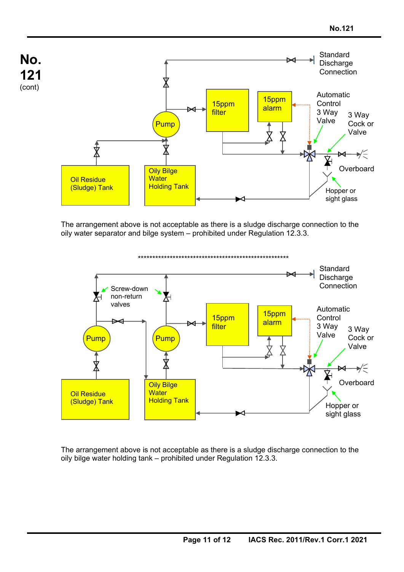

The arrangement above is not acceptable as there is a sludge discharge connection to the oily water separator and bilge system – prohibited under Regulation 12.3.3.



The arrangement above is not acceptable as there is a sludge discharge connection to the oily bilge water holding tank – prohibited under Regulation 12.3.3.